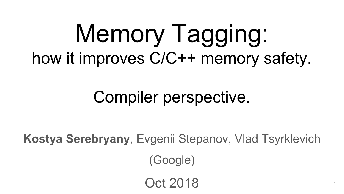# Memory Tagging: how it improves C/C++ memory safety.

# Compiler perspective.

**Kostya Serebryany**, Evgenii Stepanov, Vlad Tsyrklevich (Google)

Oct 2018

1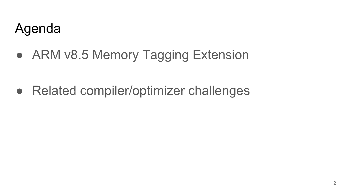# Agenda

● ARM v8.5 Memory Tagging Extension

● Related compiler/optimizer challenges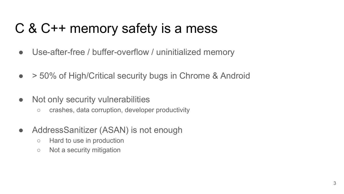# C & C++ memory safety is a mess

- Use-after-free / buffer-overflow / uninitialized memory
- >50% of High/Critical security bugs in Chrome & Android
- Not only security vulnerabilities
	- crashes, data corruption, developer productivity
- Address Sanitizer (ASAN) is not enough
	- Hard to use in production
	- Not a security mitigation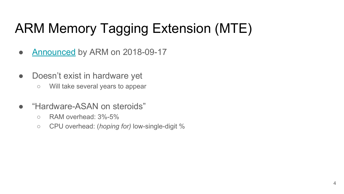# ARM Memory Tagging Extension (MTE)

- [Announced](https://community.arm.com/processors/b/blog/posts/arm-a-profile-architecture-2018-developments-armv85a) by ARM on 2018-09-17
- Doesn't exist in hardware yet
	- Will take several years to appear
- "Hardware-ASAN on steroids"
	- $\circ$  RAM overhead:  $3\%$ -5%
	- CPU overhead: (*hoping for)* low-single-digit %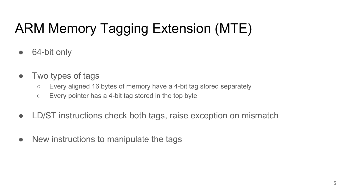# ARM Memory Tagging Extension (MTE)

- 64-bit only
- Two types of tags
	- Every aligned 16 bytes of memory have a 4-bit tag stored separately
	- $\circ$  Every pointer has a 4-bit tag stored in the top byte
- LD/ST instructions check both tags, raise exception on mismatch
- New instructions to manipulate the tags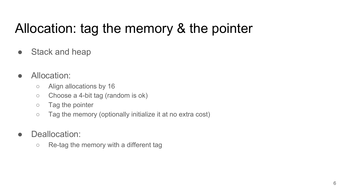# Allocation: tag the memory & the pointer

- Stack and heap
- Allocation:
	- Align allocations by 16
	- $\circ$  Choose a 4-bit tag (random is ok)
	- Tag the pointer
	- Tag the memory (optionally initialize it at no extra cost)
- Deallocation:
	- Re-tag the memory with a different tag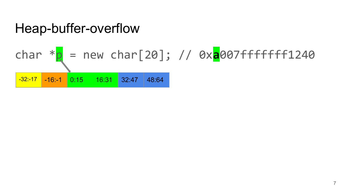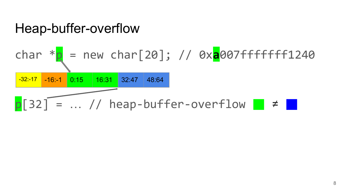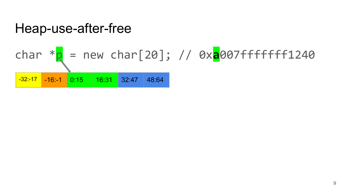# Heap-use-after-free char  $*\frac{p}{p}$  = new char[20]; // 0x<mark>a</mark>007ffffffff1240  $-32: -17$   $-16: -1$  0:15 16:31 32:47 48:64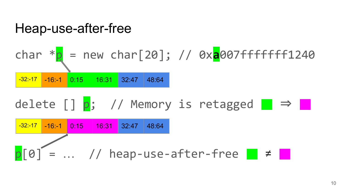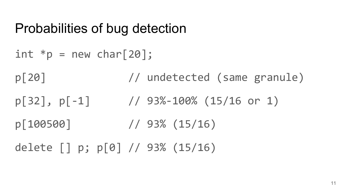#### Probabilities of bug detection

int  $*p = new char[20]$ ; p[20] // undetected (same granule)  $p[32]$ ,  $p[-1]$  // 93%-100% (15/16 or 1) p[100500] // 93% (15/16) delete [] p; p[0] // 93% (15/16)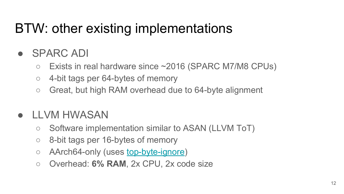# BTW: other existing implementations

#### ● SPARC ADI

- Exists in real hardware since ~2016 (SPARC M7/M8 CPUs)
- 4-bit tags per 64-bytes of memory
- Great, but high RAM overhead due to 64-byte alignment

#### **LLVM HWASAN**

- Software implementation similar to ASAN (LLVM ToT)
- 8-bit tags per 16-bytes of memory
- AArch64-only (uses <u>top-byte-ignore</u>)
- Overhead: **6% RAM**, 2x CPU, 2x code size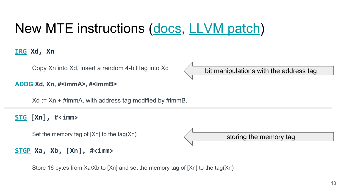# New MTE instructions ([docs,](https://developer.arm.com/products/architecture/cpu-architecture/a-profile/exploration-tools?_ga=2.229642524.1054011236.1537375847-1574477847.1536946329) [LLVM patch\)](https://reviews.llvm.org/D52490)

**[IRG](https://developer.arm.com/products/architecture/cpu-architecture/a-profile/docs/ddi0596/a/a64-base-instructions-alphabetic-order/irg-insert-random-tag) [Xd,](https://developer.arm.com/products/architecture/cpu-architecture/a-profile/docs/ddi0596/a/a64-base-instructions-alphabetic-order/irg-insert-random-tag#xd_sp) [Xn](https://developer.arm.com/products/architecture/cpu-architecture/a-profile/docs/ddi0596/a/a64-base-instructions-alphabetic-order/irg-insert-random-tag#xn_sp)**

Copy Xn into Xd, insert a random 4-bit tag into Xd

**[ADDG](https://developer.arm.com/products/architecture/cpu-architecture/a-profile/docs/ddi0596/a/a64-base-instructions-alphabetic-order/addg-add-with-tag) Xd, Xn, #<immA>, #<immB>**

 $Xd := Xn + \# \text{imm } A$ , with address tag modified by  $\# \text{imm } B$ .

**[STG](https://developer.arm.com/products/architecture/cpu-architecture/a-profile/docs/ddi0596/a/a64-base-instructions-alphabetic-order/stg-store-allocation-tag) [[Xn](https://developer.arm.com/products/architecture/cpu-architecture/a-profile/docs/ddi0596/a/a64-base-instructions-alphabetic-order/stgp-store-allocation-tag-and-pair-of-registers#xn_sp)], #<imm>**

Set the memory tag of [Xn] to the tag(Xn)

**[STGP](https://developer.arm.com/products/architecture/cpu-architecture/a-profile/docs/ddi0596/a/a64-base-instructions-alphabetic-order/stgp-store-allocation-tag-and-pair-of-registers) [Xa](https://developer.arm.com/products/architecture/cpu-architecture/a-profile/docs/ddi0596/a/a64-base-instructions-alphabetic-order/stgp-store-allocation-tag-and-pair-of-registers#xt1), [Xb](https://developer.arm.com/products/architecture/cpu-architecture/a-profile/docs/ddi0596/a/a64-base-instructions-alphabetic-order/stgp-store-allocation-tag-and-pair-of-registers#xt2), [[Xn](https://developer.arm.com/products/architecture/cpu-architecture/a-profile/docs/ddi0596/a/a64-base-instructions-alphabetic-order/stgp-store-allocation-tag-and-pair-of-registers#xn_sp)], #<imm>**

Store 16 bytes from Xa/Xb to [Xn] and set the memory tag of [Xn] to the tag(Xn)

13



storing the memory tag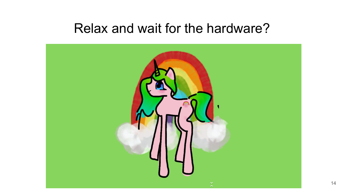#### Relax and wait for the hardware?

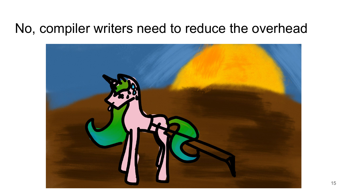#### No, compiler writers need to reduce the overhead

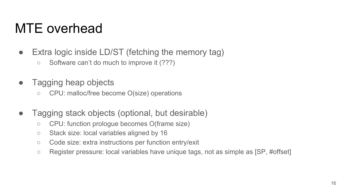#### MTE overhead

- Extra logic inside LD/ST (fetching the memory tag)
	- Software can't do much to improve it (???)
- Tagging heap objects
	- CPU: malloc/free become O(size) operations
- Tagging stack objects (optional, but desirable)
	- CPU: function prologue becomes O(frame size)
	- Stack size: local variables aligned by 16
	- Code size: extra instructions per function entry/exit
	- Register pressure: local variables have unique tags, not as simple as [SP, #offset]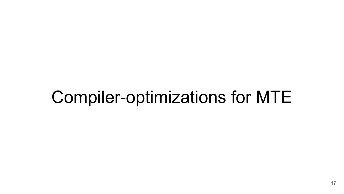# Compiler-optimizations for MTE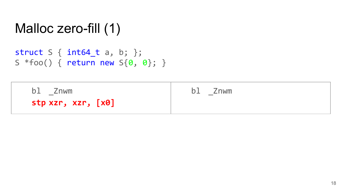#### Malloc zero-fill (1)

```
struct S { int64_t a, b; };
S *foo() { return new S{0, 0}; }
```

| b1<br>Znwm         | bl.<br>Znwm<br>$\overline{\phantom{a}}$ |
|--------------------|-----------------------------------------|
| stp xzr, xzr, [x0] |                                         |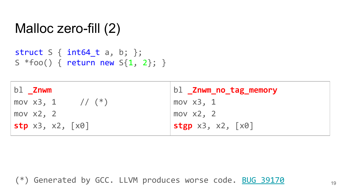#### Malloc zero-fill (2)

```
struct S { int64_t a, b; };
S *foo() { return new S{1, 2}; }
```

| bl Znwm                                     | bl _Znwm_no_tag_memory                            |
|---------------------------------------------|---------------------------------------------------|
| mov $x3, 1$ // $(*)$                        | mov $x3$ , 1                                      |
| mov x2, 2                                   | mov $x2$ , 2                                      |
| $\mathsf{stp} \times 3, \times 2, \times 0$ | $stgp \times 3$ , $\times 2$ , $\lceil x0 \rceil$ |

(\*) Generated by GCC. LLVM produces worse code. [BUG 39170](https://bugs.llvm.org/show_bug.cgi?id=39170)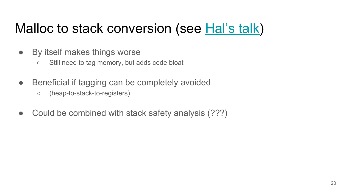# Malloc to stack conversion (see [Hal's talk](http://llvm.org/devmtg/2018-10/talk-abstracts.html#lt3))

- By itself makes things worse
	- Still need to tag memory, but adds code bloat
- Beneficial if tagging can be completely avoided
	- (heap-to-stack-to-registers)
- Could be combined with stack safety analysis (???)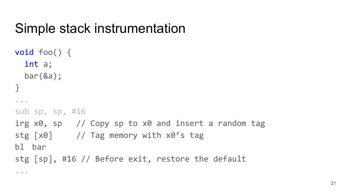# Simple stack instrumentation

```
void foo() {
   int a;
   bar(&a);
}
...
sub sp, sp, #16
irg x0, sp // Copy sp to x0 and insert a random tag
stg [x0] // Tag memory with x0's tag
bl bar 
stg [sp], #16 // Before exit, restore the default 
...
```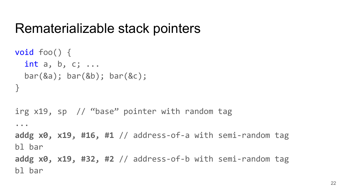#### Rematerializable stack pointers

```
void foo() {
  int a, b, c; ...
  bar(&a); bar(&b); bar(&c);
}
irg x19, sp // "base" pointer with random tag
...
addg x0, x19, #16, #1 // address-of-a with semi-random tag
bl bar 
addg x0, x19, #32, #2 // address-of-b with semi-random tag
bl bar
```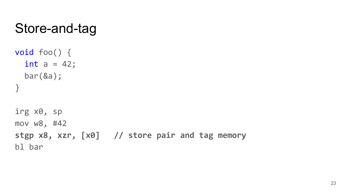### Store-and-tag

```
void foo() {
  int a = 42;
   bar(&a);
}
```
irg x0, sp mov w8, #42 **stgp x8, xzr, [x0] // store pair and tag memory** bl bar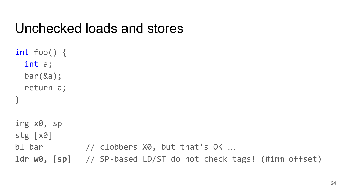#### Unchecked loads and stores

```
int foo() {
  int a;
  bar(&a);
   return a;
}
irg x0, sp
stg [x0]
bl bar // clobbers X0, but that's OK ...
ldr w0, [sp] // SP-based LD/ST do not check tags! (#imm offset)
```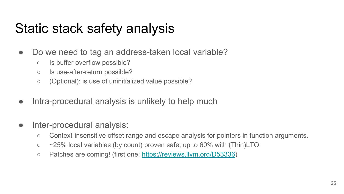# Static stack safety analysis

- Do we need to tag an address-taken local variable?
	- Is buffer overflow possible?
	- Is use-after-return possible?
	- (Optional): is use of uninitialized value possible?
- Intra-procedural analysis is unlikely to help much
- Inter-procedural analysis:
	- Context-insensitive offset range and escape analysis for pointers in function arguments.
	- $\circ$  ~25% local variables (by count) proven safe; up to 60% with (Thin)LTO.
	- Patches are coming! (first one: <https://reviews.llvm.org/D53336>)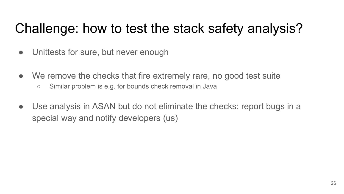# Challenge: how to test the stack safety analysis?

- Unittests for sure, but never enough
- We remove the checks that fire extremely rare, no good test suite
	- Similar problem is e.g. for bounds check removal in Java
- Use analysis in ASAN but do not eliminate the checks: report bugs in a special way and notify developers (us)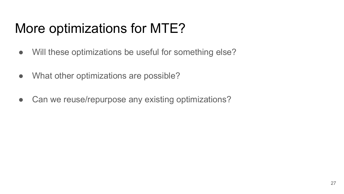# More optimizations for MTE?

- Will these optimizations be useful for something else?
- What other optimizations are possible?
- Can we reuse/repurpose any existing optimizations?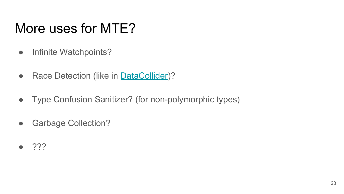# More uses for MTE?

- Infinite Watchpoints?
- Race Detection (like in **DataCollider**)?
- Type Confusion Sanitizer? (for non-polymorphic types)
- Garbage Collection?
- $\bullet$  ???